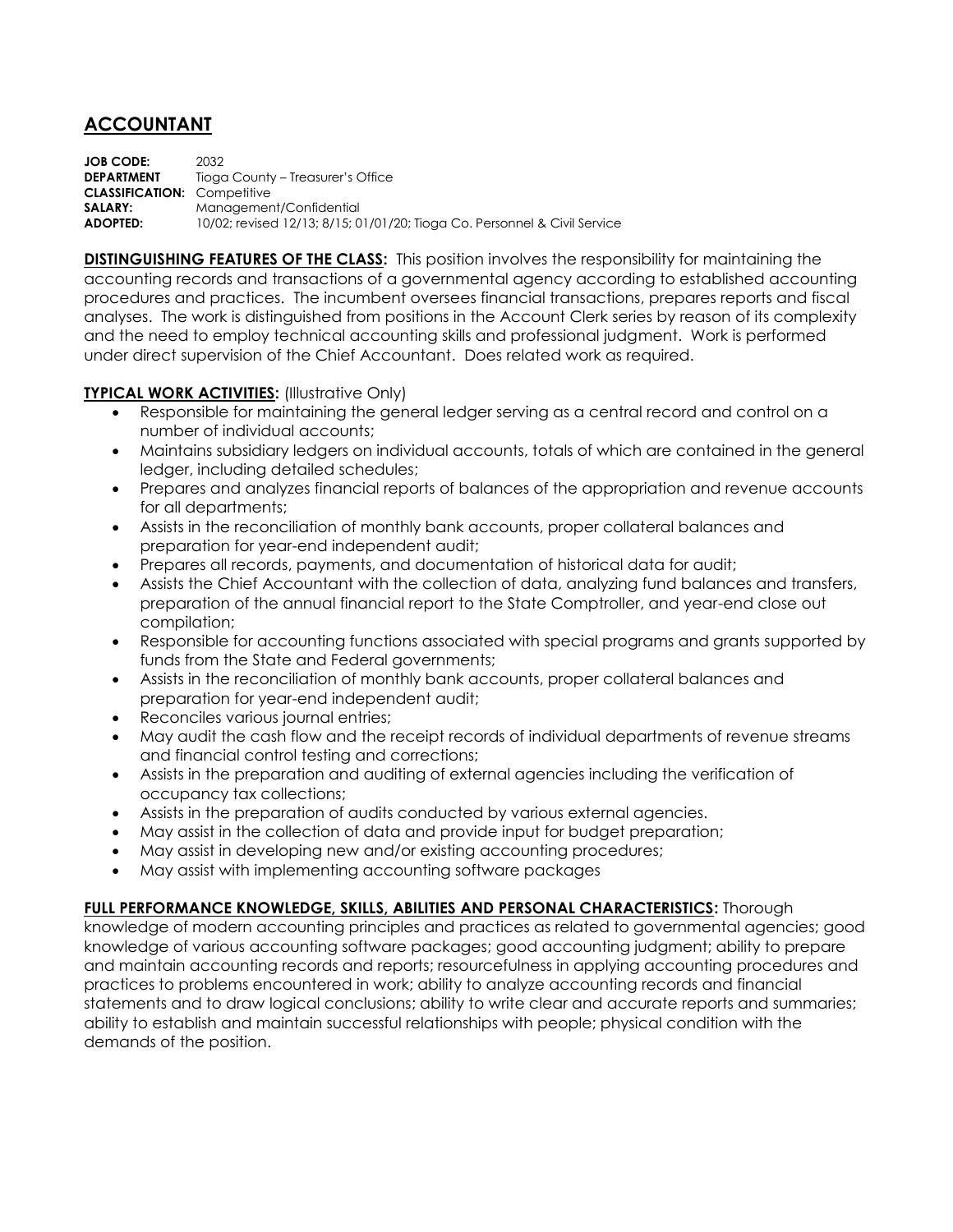## **ACCOUNTANT**

**JOB CODE:** 2032 **DEPARTMENT** Tioga County – Treasurer's Office **CLASSIFICATION:** Competitive **SALARY:** Management/Confidential **ADOPTED:** 10/02; revised 12/13; 8/15; 01/01/20; Tioga Co. Personnel & Civil Service

**DISTINGUISHING FEATURES OF THE CLASS:** This position involves the responsibility for maintaining the accounting records and transactions of a governmental agency according to established accounting procedures and practices. The incumbent oversees financial transactions, prepares reports and fiscal analyses. The work is distinguished from positions in the Account Clerk series by reason of its complexity and the need to employ technical accounting skills and professional judgment. Work is performed under direct supervision of the Chief Accountant. Does related work as required.

## **TYPICAL WORK ACTIVITIES: (Illustrative Only)**

- Responsible for maintaining the general ledger serving as a central record and control on a number of individual accounts;
- Maintains subsidiary ledgers on individual accounts, totals of which are contained in the general ledger, including detailed schedules;
- Prepares and analyzes financial reports of balances of the appropriation and revenue accounts for all departments;
- Assists in the reconciliation of monthly bank accounts, proper collateral balances and preparation for year-end independent audit;
- Prepares all records, payments, and documentation of historical data for audit;
- Assists the Chief Accountant with the collection of data, analyzing fund balances and transfers, preparation of the annual financial report to the State Comptroller, and year-end close out compilation;
- Responsible for accounting functions associated with special programs and grants supported by funds from the State and Federal governments;
- Assists in the reconciliation of monthly bank accounts, proper collateral balances and preparation for year-end independent audit;
- Reconciles various journal entries;
- May audit the cash flow and the receipt records of individual departments of revenue streams and financial control testing and corrections;
- Assists in the preparation and auditing of external agencies including the verification of occupancy tax collections;
- Assists in the preparation of audits conducted by various external agencies.
- May assist in the collection of data and provide input for budget preparation;
- May assist in developing new and/or existing accounting procedures;
- May assist with implementing accounting software packages

## **FULL PERFORMANCE KNOWLEDGE, SKILLS, ABILITIES AND PERSONAL CHARACTERISTICS:** Thorough

knowledge of modern accounting principles and practices as related to governmental agencies; good knowledge of various accounting software packages; good accounting judgment; ability to prepare and maintain accounting records and reports; resourcefulness in applying accounting procedures and practices to problems encountered in work; ability to analyze accounting records and financial statements and to draw logical conclusions; ability to write clear and accurate reports and summaries; ability to establish and maintain successful relationships with people; physical condition with the demands of the position.